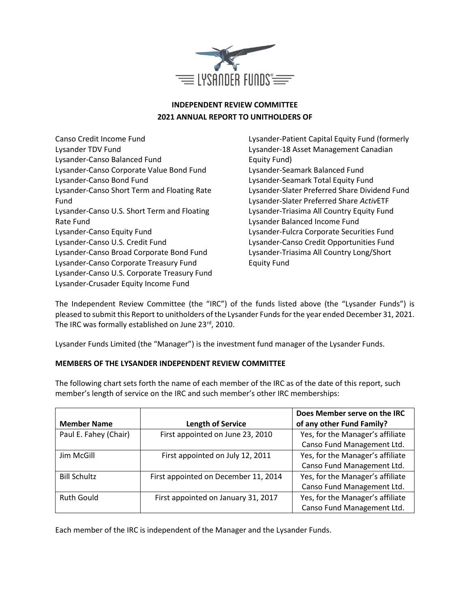

# **INDEPENDENT REVIEW COMMITTEE 2021 ANNUAL REPORT TO UNITHOLDERS OF**

Canso Credit Income Fund Lysander TDV Fund Lysander-Canso Balanced Fund Lysander-Canso Corporate Value Bond Fund Lysander-Canso Bond Fund Lysander-Canso Short Term and Floating Rate Fund Lysander-Canso U.S. Short Term and Floating Rate Fund Lysander-Canso Equity Fund Lysander-Canso U.S. Credit Fund Lysander-Canso Broad Corporate Bond Fund Lysander-Canso Corporate Treasury Fund Lysander-Canso U.S. Corporate Treasury Fund Lysander-Crusader Equity Income Fund

Lysander-Patient Capital Equity Fund (formerly Lysander-18 Asset Management Canadian Equity Fund) Lysander-Seamark Balanced Fund Lysander-Seamark Total Equity Fund Lysander-Slater Preferred Share Dividend Fund Lysander-Slater Preferred Share *Activ*ETF Lysander-Triasima All Country Equity Fund Lysander Balanced Income Fund Lysander-Fulcra Corporate Securities Fund Lysander-Canso Credit Opportunities Fund Lysander-Triasima All Country Long/Short Equity Fund

The Independent Review Committee (the "IRC") of the funds listed above (the "Lysander Funds") is pleased to submit this Report to unitholders of the Lysander Funds for the year ended December 31, 2021. The IRC was formally established on June 23rd, 2010.

Lysander Funds Limited (the "Manager") is the investment fund manager of the Lysander Funds.

## **MEMBERS OF THE LYSANDER INDEPENDENT REVIEW COMMITTEE**

The following chart sets forth the name of each member of the IRC as of the date of this report, such member's length of service on the IRC and such member's other IRC memberships:

| <b>Member Name</b>    | <b>Length of Service</b>             | Does Member serve on the IRC<br>of any other Fund Family? |
|-----------------------|--------------------------------------|-----------------------------------------------------------|
| Paul E. Fahey (Chair) | First appointed on June 23, 2010     | Yes, for the Manager's affiliate                          |
|                       |                                      | Canso Fund Management Ltd.                                |
| Jim McGill            | First appointed on July 12, 2011     | Yes, for the Manager's affiliate                          |
|                       |                                      | Canso Fund Management Ltd.                                |
| <b>Bill Schultz</b>   | First appointed on December 11, 2014 | Yes, for the Manager's affiliate                          |
|                       |                                      | Canso Fund Management Ltd.                                |
| <b>Ruth Gould</b>     | First appointed on January 31, 2017  | Yes, for the Manager's affiliate                          |
|                       |                                      | Canso Fund Management Ltd.                                |

Each member of the IRC is independent of the Manager and the Lysander Funds.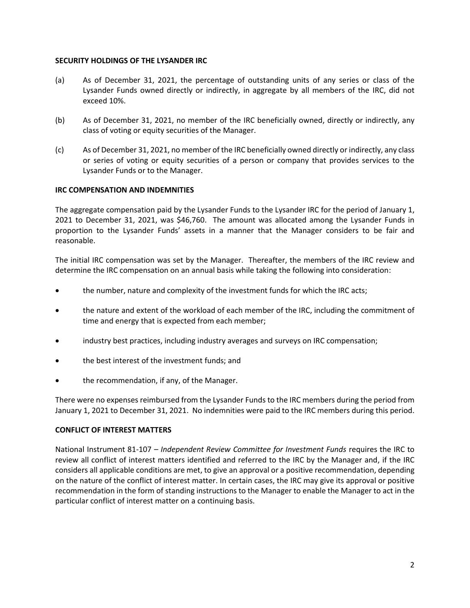### **SECURITY HOLDINGS OF THE LYSANDER IRC**

- (a) As of December 31, 2021, the percentage of outstanding units of any series or class of the Lysander Funds owned directly or indirectly, in aggregate by all members of the IRC, did not exceed 10%.
- (b) As of December 31, 2021, no member of the IRC beneficially owned, directly or indirectly, any class of voting or equity securities of the Manager.
- (c) As of December 31, 2021, no member of the IRC beneficially owned directly or indirectly, any class or series of voting or equity securities of a person or company that provides services to the Lysander Funds or to the Manager.

## **IRC COMPENSATION AND INDEMNITIES**

The aggregate compensation paid by the Lysander Funds to the Lysander IRC for the period of January 1, 2021 to December 31, 2021, was \$46,760. The amount was allocated among the Lysander Funds in proportion to the Lysander Funds' assets in a manner that the Manager considers to be fair and reasonable.

The initial IRC compensation was set by the Manager. Thereafter, the members of the IRC review and determine the IRC compensation on an annual basis while taking the following into consideration:

- the number, nature and complexity of the investment funds for which the IRC acts;
- the nature and extent of the workload of each member of the IRC, including the commitment of time and energy that is expected from each member;
- industry best practices, including industry averages and surveys on IRC compensation;
- the best interest of the investment funds; and
- the recommendation, if any, of the Manager.

There were no expenses reimbursed from the Lysander Funds to the IRC members during the period from January 1, 2021 to December 31, 2021. No indemnities were paid to the IRC members during this period.

#### **CONFLICT OF INTEREST MATTERS**

National Instrument 81-107 – *Independent Review Committee for Investment Funds* requires the IRC to review all conflict of interest matters identified and referred to the IRC by the Manager and, if the IRC considers all applicable conditions are met, to give an approval or a positive recommendation, depending on the nature of the conflict of interest matter. In certain cases, the IRC may give its approval or positive recommendation in the form of standing instructions to the Manager to enable the Manager to act in the particular conflict of interest matter on a continuing basis.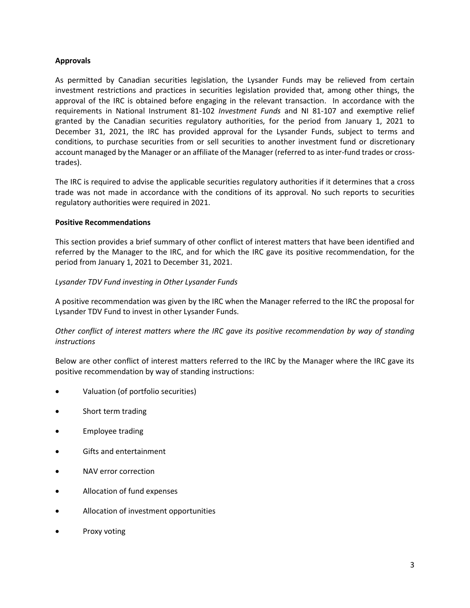## **Approvals**

As permitted by Canadian securities legislation, the Lysander Funds may be relieved from certain investment restrictions and practices in securities legislation provided that, among other things, the approval of the IRC is obtained before engaging in the relevant transaction. In accordance with the requirements in National Instrument 81-102 *Investment Funds* and NI 81-107 and exemptive relief granted by the Canadian securities regulatory authorities, for the period from January 1, 2021 to December 31, 2021, the IRC has provided approval for the Lysander Funds, subject to terms and conditions, to purchase securities from or sell securities to another investment fund or discretionary account managed by the Manager or an affiliate of the Manager (referred to as inter-fund trades or crosstrades).

The IRC is required to advise the applicable securities regulatory authorities if it determines that a cross trade was not made in accordance with the conditions of its approval. No such reports to securities regulatory authorities were required in 2021.

## **Positive Recommendations**

This section provides a brief summary of other conflict of interest matters that have been identified and referred by the Manager to the IRC, and for which the IRC gave its positive recommendation, for the period from January 1, 2021 to December 31, 2021.

## *Lysander TDV Fund investing in Other Lysander Funds*

A positive recommendation was given by the IRC when the Manager referred to the IRC the proposal for Lysander TDV Fund to invest in other Lysander Funds.

## *Other conflict of interest matters where the IRC gave its positive recommendation by way of standing instructions*

Below are other conflict of interest matters referred to the IRC by the Manager where the IRC gave its positive recommendation by way of standing instructions:

- Valuation (of portfolio securities)
- Short term trading
- Employee trading
- Gifts and entertainment
- NAV error correction
- Allocation of fund expenses
- Allocation of investment opportunities
- Proxy voting